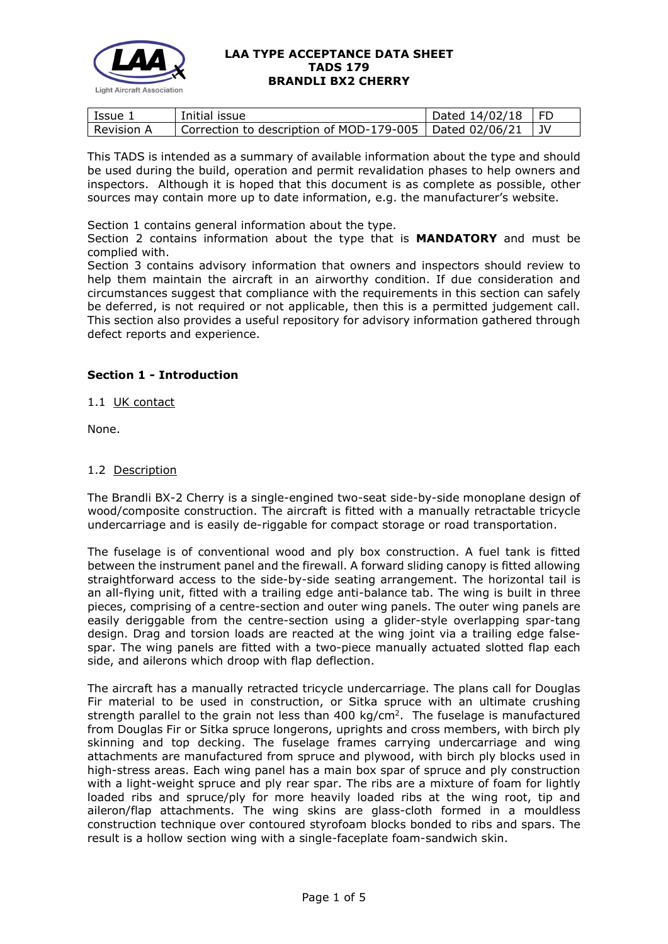

| l Issue 1    | Initial issue                                                  | $\vert$ Dated 14/02/18 $\vert$ FD |  |
|--------------|----------------------------------------------------------------|-----------------------------------|--|
| l Revision A | Correction to description of MOD-179-005   Dated 02/06/21   JV |                                   |  |

This TADS is intended as a summary of available information about the type and should be used during the build, operation and permit revalidation phases to help owners and inspectors. Although it is hoped that this document is as complete as possible, other sources may contain more up to date information, e.g. the manufacturer's website.

Section 1 contains general information about the type.

Section 2 contains information about the type that is **MANDATORY** and must be complied with.

Section 3 contains advisory information that owners and inspectors should review to help them maintain the aircraft in an airworthy condition. If due consideration and circumstances suggest that compliance with the requirements in this section can safely be deferred, is not required or not applicable, then this is a permitted judgement call. This section also provides a useful repository for advisory information gathered through defect reports and experience.

# **Section 1 - Introduction**

1.1 UK contact

None.

## 1.2 Description

The Brandli BX-2 Cherry is a single-engined two-seat side-by-side monoplane design of wood/composite construction. The aircraft is fitted with a manually retractable tricycle undercarriage and is easily de-riggable for compact storage or road transportation.

The fuselage is of conventional wood and ply box construction. A fuel tank is fitted between the instrument panel and the firewall. A forward sliding canopy is fitted allowing straightforward access to the side-by-side seating arrangement. The horizontal tail is an all-flying unit, fitted with a trailing edge anti-balance tab. The wing is built in three pieces, comprising of a centre-section and outer wing panels. The outer wing panels are easily deriggable from the centre-section using a glider-style overlapping spar-tang design. Drag and torsion loads are reacted at the wing joint via a trailing edge falsespar. The wing panels are fitted with a two-piece manually actuated slotted flap each side, and ailerons which droop with flap deflection.

The aircraft has a manually retracted tricycle undercarriage. The plans call for Douglas Fir material to be used in construction, or Sitka spruce with an ultimate crushing strength parallel to the grain not less than 400 kg/ $cm<sup>2</sup>$ . The fuselage is manufactured from Douglas Fir or Sitka spruce longerons, uprights and cross members, with birch ply skinning and top decking. The fuselage frames carrying undercarriage and wing attachments are manufactured from spruce and plywood, with birch ply blocks used in high-stress areas. Each wing panel has a main box spar of spruce and ply construction with a light-weight spruce and ply rear spar. The ribs are a mixture of foam for lightly loaded ribs and spruce/ply for more heavily loaded ribs at the wing root, tip and aileron/flap attachments. The wing skins are glass-cloth formed in a mouldless construction technique over contoured styrofoam blocks bonded to ribs and spars. The result is a hollow section wing with a single-faceplate foam-sandwich skin.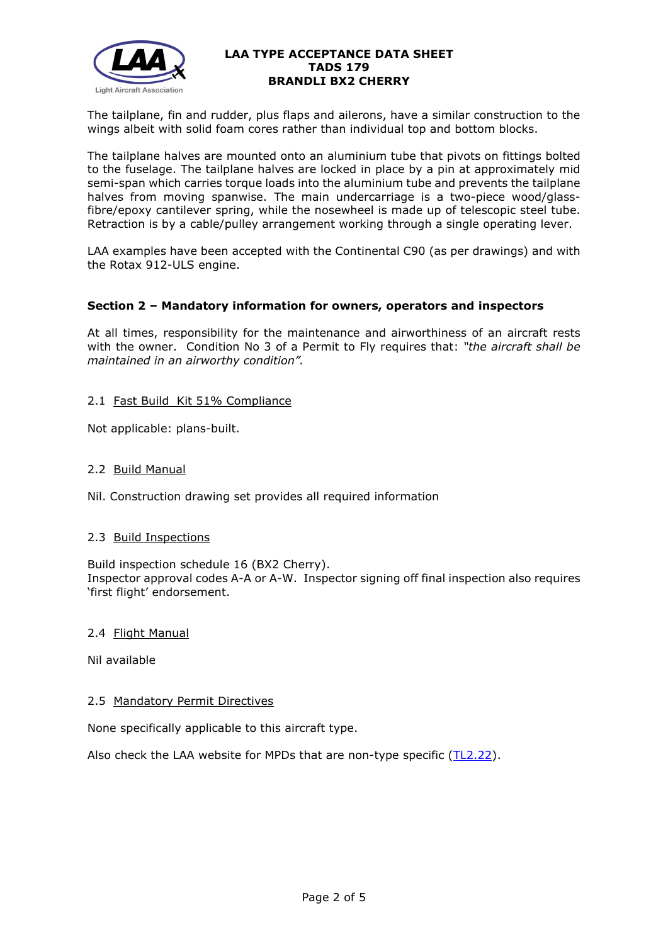

The tailplane, fin and rudder, plus flaps and ailerons, have a similar construction to the wings albeit with solid foam cores rather than individual top and bottom blocks.

The tailplane halves are mounted onto an aluminium tube that pivots on fittings bolted to the fuselage. The tailplane halves are locked in place by a pin at approximately mid semi-span which carries torque loads into the aluminium tube and prevents the tailplane halves from moving spanwise. The main undercarriage is a two-piece wood/glassfibre/epoxy cantilever spring, while the nosewheel is made up of telescopic steel tube. Retraction is by a cable/pulley arrangement working through a single operating lever.

LAA examples have been accepted with the Continental C90 (as per drawings) and with the Rotax 912-ULS engine.

## **Section 2 – Mandatory information for owners, operators and inspectors**

At all times, responsibility for the maintenance and airworthiness of an aircraft rests with the owner. Condition No 3 of a Permit to Fly requires that: *"the aircraft shall be maintained in an airworthy condition".* 

## 2.1 Fast Build Kit 51% Compliance

Not applicable: plans-built.

#### 2.2 Build Manual

Nil. Construction drawing set provides all required information

## 2.3 Build Inspections

Build inspection schedule 16 (BX2 Cherry). Inspector approval codes A-A or A-W. Inspector signing off final inspection also requires 'first flight' endorsement.

#### 2.4 Flight Manual

Nil available

#### 2.5 Mandatory Permit Directives

None specifically applicable to this aircraft type.

Also check the LAA website for MPDs that are non-type specific [\(TL2.22\)](http://www.lightaircraftassociation.co.uk/engineering/TechnicalLeaflets/Operating%20An%20Aircraft/TL%202.22%20non-type%20specific%20MPDs.pdf).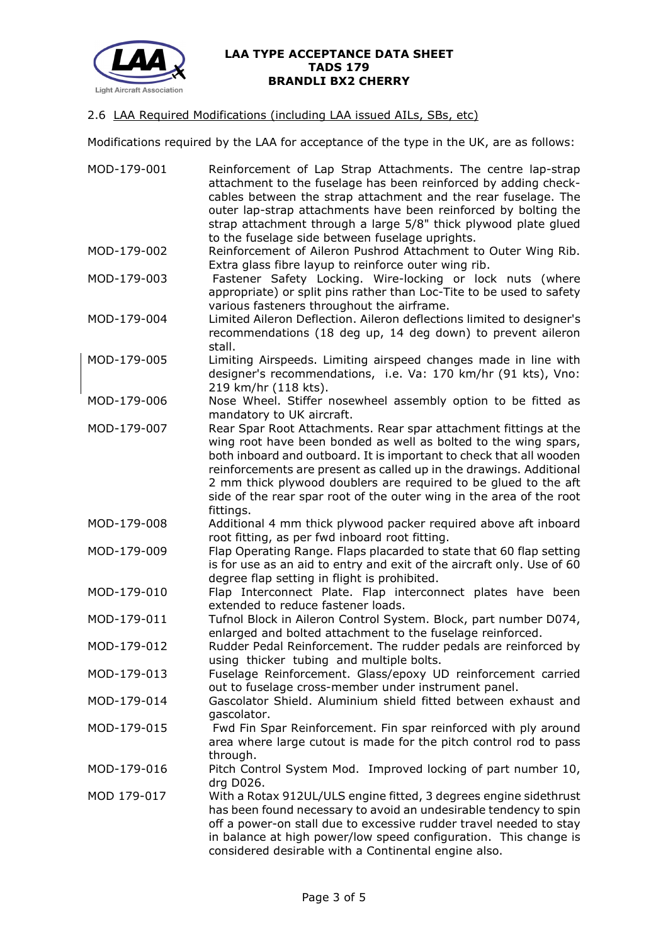

# 2.6 LAA Required Modifications (including LAA issued AILs, SBs, etc)

Modifications required by the LAA for acceptance of the type in the UK, are as follows:

| MOD-179-001 | Reinforcement of Lap Strap Attachments. The centre lap-strap<br>attachment to the fuselage has been reinforced by adding check-<br>cables between the strap attachment and the rear fuselage. The<br>outer lap-strap attachments have been reinforced by bolting the<br>strap attachment through a large 5/8" thick plywood plate glued<br>to the fuselage side between fuselage uprights.                                                |
|-------------|-------------------------------------------------------------------------------------------------------------------------------------------------------------------------------------------------------------------------------------------------------------------------------------------------------------------------------------------------------------------------------------------------------------------------------------------|
| MOD-179-002 | Reinforcement of Aileron Pushrod Attachment to Outer Wing Rib.<br>Extra glass fibre layup to reinforce outer wing rib.                                                                                                                                                                                                                                                                                                                    |
| MOD-179-003 | Fastener Safety Locking. Wire-locking or lock nuts (where<br>appropriate) or split pins rather than Loc-Tite to be used to safety<br>various fasteners throughout the airframe.                                                                                                                                                                                                                                                           |
| MOD-179-004 | Limited Aileron Deflection. Aileron deflections limited to designer's<br>recommendations (18 deg up, 14 deg down) to prevent aileron<br>stall.                                                                                                                                                                                                                                                                                            |
| MOD-179-005 | Limiting Airspeeds. Limiting airspeed changes made in line with<br>designer's recommendations, i.e. Va: 170 km/hr (91 kts), Vno:<br>219 km/hr (118 kts).                                                                                                                                                                                                                                                                                  |
| MOD-179-006 | Nose Wheel. Stiffer nosewheel assembly option to be fitted as<br>mandatory to UK aircraft.                                                                                                                                                                                                                                                                                                                                                |
| MOD-179-007 | Rear Spar Root Attachments. Rear spar attachment fittings at the<br>wing root have been bonded as well as bolted to the wing spars,<br>both inboard and outboard. It is important to check that all wooden<br>reinforcements are present as called up in the drawings. Additional<br>2 mm thick plywood doublers are required to be glued to the aft<br>side of the rear spar root of the outer wing in the area of the root<br>fittings. |
| MOD-179-008 | Additional 4 mm thick plywood packer required above aft inboard<br>root fitting, as per fwd inboard root fitting.                                                                                                                                                                                                                                                                                                                         |
| MOD-179-009 | Flap Operating Range. Flaps placarded to state that 60 flap setting<br>is for use as an aid to entry and exit of the aircraft only. Use of 60<br>degree flap setting in flight is prohibited.                                                                                                                                                                                                                                             |
| MOD-179-010 | Flap Interconnect Plate. Flap interconnect plates have been<br>extended to reduce fastener loads.                                                                                                                                                                                                                                                                                                                                         |
| MOD-179-011 | Tufnol Block in Aileron Control System. Block, part number D074,<br>enlarged and bolted attachment to the fuselage reinforced.                                                                                                                                                                                                                                                                                                            |
| MOD-179-012 | Rudder Pedal Reinforcement. The rudder pedals are reinforced by<br>using thicker tubing and multiple bolts.                                                                                                                                                                                                                                                                                                                               |
| MOD-179-013 | Fuselage Reinforcement. Glass/epoxy UD reinforcement carried<br>out to fuselage cross-member under instrument panel.                                                                                                                                                                                                                                                                                                                      |
| MOD-179-014 | Gascolator Shield. Aluminium shield fitted between exhaust and<br>gascolator.                                                                                                                                                                                                                                                                                                                                                             |
| MOD-179-015 | Fwd Fin Spar Reinforcement. Fin spar reinforced with ply around<br>area where large cutout is made for the pitch control rod to pass<br>through.                                                                                                                                                                                                                                                                                          |
| MOD-179-016 | Pitch Control System Mod. Improved locking of part number 10,<br>drg D026.                                                                                                                                                                                                                                                                                                                                                                |
| MOD 179-017 | With a Rotax 912UL/ULS engine fitted, 3 degrees engine sidethrust<br>has been found necessary to avoid an undesirable tendency to spin<br>off a power-on stall due to excessive rudder travel needed to stay<br>in balance at high power/low speed configuration. This change is<br>considered desirable with a Continental engine also.                                                                                                  |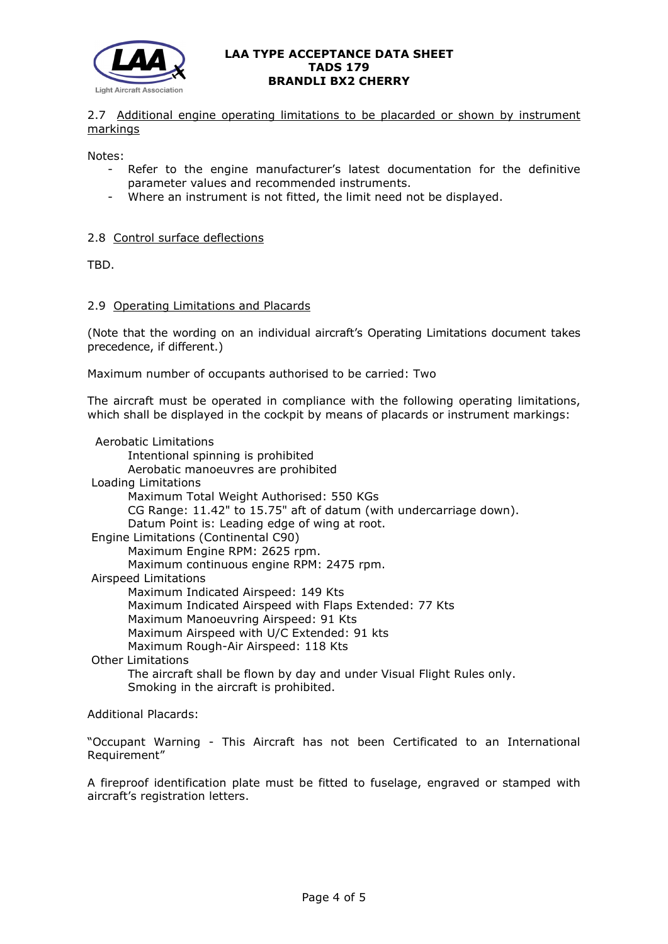

2.7 Additional engine operating limitations to be placarded or shown by instrument markings

Notes:

- Refer to the engine manufacturer's latest documentation for the definitive parameter values and recommended instruments.
- Where an instrument is not fitted, the limit need not be displayed.

## 2.8 Control surface deflections

TBD.

#### 2.9 Operating Limitations and Placards

(Note that the wording on an individual aircraft's Operating Limitations document takes precedence, if different.)

Maximum number of occupants authorised to be carried: Two

The aircraft must be operated in compliance with the following operating limitations, which shall be displayed in the cockpit by means of placards or instrument markings:

 Aerobatic Limitations Intentional spinning is prohibited Aerobatic manoeuvres are prohibited Loading Limitations Maximum Total Weight Authorised: 550 KGs CG Range: 11.42" to 15.75" aft of datum (with undercarriage down). Datum Point is: Leading edge of wing at root. Engine Limitations (Continental C90) Maximum Engine RPM: 2625 rpm. Maximum continuous engine RPM: 2475 rpm. Airspeed Limitations Maximum Indicated Airspeed: 149 Kts Maximum Indicated Airspeed with Flaps Extended: 77 Kts Maximum Manoeuvring Airspeed: 91 Kts Maximum Airspeed with U/C Extended: 91 kts Maximum Rough-Air Airspeed: 118 Kts Other Limitations The aircraft shall be flown by day and under Visual Flight Rules only. Smoking in the aircraft is prohibited.

Additional Placards:

"Occupant Warning - This Aircraft has not been Certificated to an International Requirement"

A fireproof identification plate must be fitted to fuselage, engraved or stamped with aircraft's registration letters.